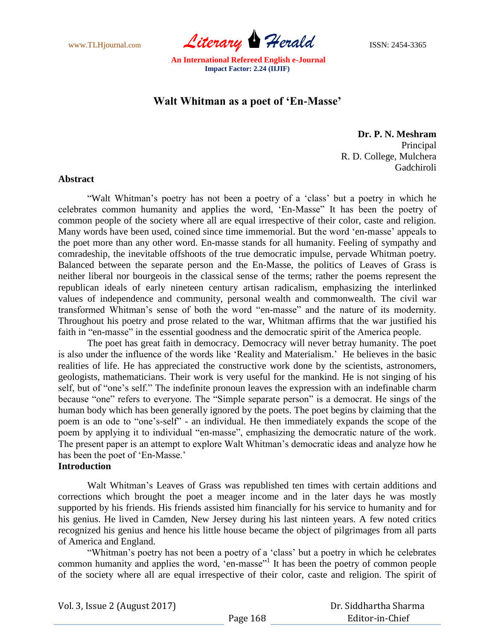www.TLHjournal.com *Literary* **Herald ISSN:** 2454-3365

# **Walt Whitman as a poet of 'En-Masse'**

**Dr. P. N. Meshram** Principal R. D. College, Mulchera Gadchiroli

#### **Abstract**

"Walt Whitman"s poetry has not been a poetry of a "class" but a poetry in which he celebrates common humanity and applies the word, "En-Masse" It has been the poetry of common people of the society where all are equal irrespective of their color, caste and religion. Many words have been used, coined since time immemorial. But the word "en-masse" appeals to the poet more than any other word. En-masse stands for all humanity. Feeling of sympathy and comradeship, the inevitable offshoots of the true democratic impulse, pervade Whitman poetry. Balanced between the separate person and the En-Masse, the politics of Leaves of Grass is neither liberal nor bourgeois in the classical sense of the terms; rather the poems represent the republican ideals of early nineteen century artisan radicalism, emphasizing the interlinked values of independence and community, personal wealth and commonwealth. The civil war transformed Whitman"s sense of both the word "en-masse" and the nature of its modernity. Throughout his poetry and prose related to the war, Whitman affirms that the war justified his faith in "en-masse" in the essential goodness and the democratic spirit of the America people.

The poet has great faith in democracy. Democracy will never betray humanity. The poet is also under the influence of the words like "Reality and Materialism." He believes in the basic realities of life. He has appreciated the constructive work done by the scientists, astronomers, geologists, mathematicians. Their work is very useful for the mankind. He is not singing of his self, but of "one's self." The indefinite pronoun leaves the expression with an indefinable charm because "one" refers to everyone. The "Simple separate person" is a democrat. He sings of the human body which has been generally ignored by the poets. The poet begins by claiming that the poem is an ode to "one"s-self" - an individual. He then immediately expands the scope of the poem by applying it to individual "en-masse", emphasizing the democratic nature of the work. The present paper is an attempt to explore Walt Whitman"s democratic ideas and analyze how he has been the poet of 'En-Masse.'

## **Introduction**

Walt Whitman"s Leaves of Grass was republished ten times with certain additions and corrections which brought the poet a meager income and in the later days he was mostly supported by his friends. His friends assisted him financially for his service to humanity and for his genius. He lived in Camden, New Jersey during his last ninteen years. A few noted critics recognized his genius and hence his little house became the object of pilgrimages from all parts of America and England.

"Whitman's poetry has not been a poetry of a 'class' but a poetry in which he celebrates common humanity and applies the word, "en-masse"<sup>1</sup> It has been the poetry of common people of the society where all are equal irrespective of their color, caste and religion. The spirit of

Vol. 3, Issue 2 (August 2017)

 Dr. Siddhartha Sharma Editor-in-Chief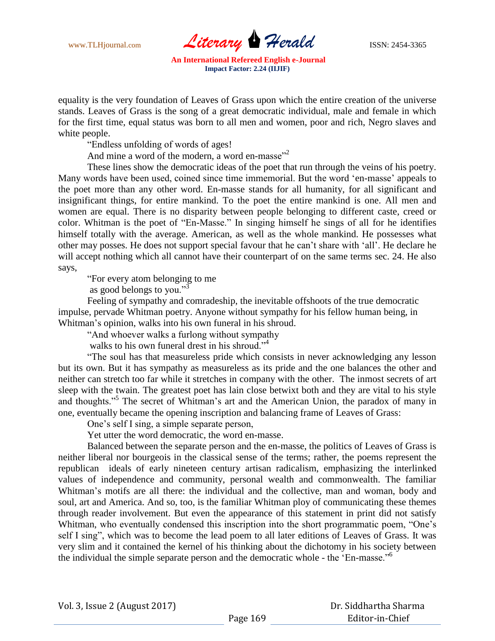www.TLHjournal.com **Literary Herald ISSN: 2454-3365** 

equality is the very foundation of Leaves of Grass upon which the entire creation of the universe stands. Leaves of Grass is the song of a great democratic individual, male and female in which for the first time, equal status was born to all men and women, poor and rich, Negro slaves and white people.

"Endless unfolding of words of ages!

And mine a word of the modern, a word en-masse $^{2}$ 

These lines show the democratic ideas of the poet that run through the veins of his poetry. Many words have been used, coined since time immemorial. But the word 'en-masse' appeals to the poet more than any other word. En-masse stands for all humanity, for all significant and insignificant things, for entire mankind. To the poet the entire mankind is one. All men and women are equal. There is no disparity between people belonging to different caste, creed or color. Whitman is the poet of "En-Masse." In singing himself he sings of all for he identifies himself totally with the average. American, as well as the whole mankind. He possesses what other may posses. He does not support special favour that he can"t share with "all". He declare he will accept nothing which all cannot have their counterpart of on the same terms sec. 24. He also says,

"For every atom belonging to me

as good belongs to you." $\frac{3}{3}$ 

Feeling of sympathy and comradeship, the inevitable offshoots of the true democratic impulse, pervade Whitman poetry. Anyone without sympathy for his fellow human being, in Whitman"s opinion, walks into his own funeral in his shroud.

"And whoever walks a furlong without sympathy

walks to his own funeral drest in his shroud."<sup>4</sup>

"The soul has that measureless pride which consists in never acknowledging any lesson but its own. But it has sympathy as measureless as its pride and the one balances the other and neither can stretch too far while it stretches in company with the other. The inmost secrets of art sleep with the twain. The greatest poet has lain close betwixt both and they are vital to his style and thoughts."<sup>5</sup> The secret of Whitman's art and the American Union, the paradox of many in one, eventually became the opening inscription and balancing frame of Leaves of Grass:

One"s self I sing, a simple separate person,

Yet utter the word democratic, the word en-masse.

Balanced between the separate person and the en-masse, the politics of Leaves of Grass is neither liberal nor bourgeois in the classical sense of the terms; rather, the poems represent the republican ideals of early nineteen century artisan radicalism, emphasizing the interlinked values of independence and community, personal wealth and commonwealth. The familiar Whitman's motifs are all there: the individual and the collective, man and woman, body and soul, art and America. And so, too, is the familiar Whitman ploy of communicating these themes through reader involvement. But even the appearance of this statement in print did not satisfy Whitman, who eventually condensed this inscription into the short programmatic poem, "One's self I sing", which was to become the lead poem to all later editions of Leaves of Grass. It was very slim and it contained the kernel of his thinking about the dichotomy in his society between the individual the simple separate person and the democratic whole - the "En-masse."<sup>6</sup>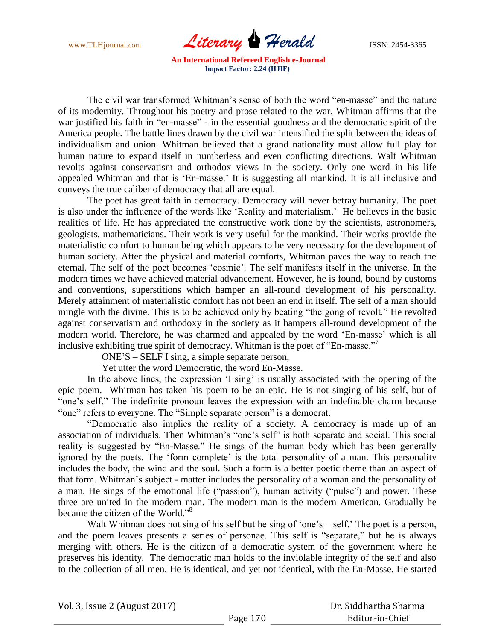www.TLHjournal.com **Literary Herald ISSN: 2454-3365** 

The civil war transformed Whitman"s sense of both the word "en-masse" and the nature of its modernity. Throughout his poetry and prose related to the war, Whitman affirms that the war justified his faith in "en-masse" - in the essential goodness and the democratic spirit of the America people. The battle lines drawn by the civil war intensified the split between the ideas of individualism and union. Whitman believed that a grand nationality must allow full play for human nature to expand itself in numberless and even conflicting directions. Walt Whitman revolts against conservatism and orthodox views in the society. Only one word in his life appealed Whitman and that is "En-masse." It is suggesting all mankind. It is all inclusive and conveys the true caliber of democracy that all are equal.

The poet has great faith in democracy. Democracy will never betray humanity. The poet is also under the influence of the words like "Reality and materialism." He believes in the basic realities of life. He has appreciated the constructive work done by the scientists, astronomers, geologists, mathematicians. Their work is very useful for the mankind. Their works provide the materialistic comfort to human being which appears to be very necessary for the development of human society. After the physical and material comforts, Whitman paves the way to reach the eternal. The self of the poet becomes "cosmic". The self manifests itself in the universe. In the modern times we have achieved material advancement. However, he is found, bound by customs and conventions, superstitions which hamper an all-round development of his personality. Merely attainment of materialistic comfort has not been an end in itself. The self of a man should mingle with the divine. This is to be achieved only by beating "the gong of revolt." He revolted against conservatism and orthodoxy in the society as it hampers all-round development of the modern world. Therefore, he was charmed and appealed by the word "En-masse" which is all inclusive exhibiting true spirit of democracy. Whitman is the poet of "En-masse."

ONE"S – SELF I sing, a simple separate person,

Yet utter the word Democratic, the word En-Masse.

In the above lines, the expression 'I sing' is usually associated with the opening of the epic poem. Whitman has taken his poem to be an epic. He is not singing of his self, but of "one's self." The indefinite pronoun leaves the expression with an indefinable charm because "one" refers to everyone. The "Simple separate person" is a democrat.

"Democratic also implies the reality of a society. A democracy is made up of an association of individuals. Then Whitman"s "one"s self" is both separate and social. This social reality is suggested by "En-Masse." He sings of the human body which has been generally ignored by the poets. The 'form complete' is the total personality of a man. This personality includes the body, the wind and the soul. Such a form is a better poetic theme than an aspect of that form. Whitman"s subject - matter includes the personality of a woman and the personality of a man. He sings of the emotional life ("passion"), human activity ("pulse") and power. These three are united in the modern man. The modern man is the modern American. Gradually he became the citizen of the World."<sup>8</sup>

Walt Whitman does not sing of his self but he sing of 'one's – self.' The poet is a person, and the poem leaves presents a series of personae. This self is "separate," but he is always merging with others. He is the citizen of a democratic system of the government where he preserves his identity. The democratic man holds to the inviolable integrity of the self and also to the collection of all men. He is identical, and yet not identical, with the En-Masse. He started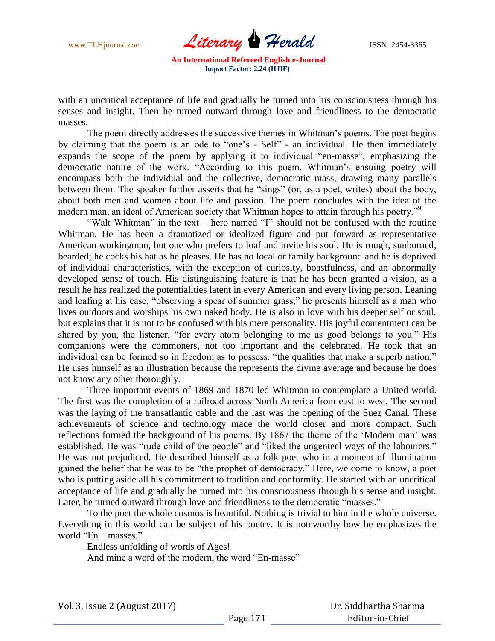www.TLHjournal.com **Literary Herald ISSN: 2454-3365** 

with an uncritical acceptance of life and gradually he turned into his consciousness through his senses and insight. Then he turned outward through love and friendliness to the democratic masses.

The poem directly addresses the successive themes in Whitman"s poems. The poet begins by claiming that the poem is an ode to "one"s - Self" - an individual. He then immediately expands the scope of the poem by applying it to individual "en-masse", emphasizing the democratic nature of the work. "According to this poem, Whitman's ensuing poetry will encompass both the individual and the collective, democratic mass, drawing many parallels between them. The speaker further asserts that he "sings" (or, as a poet, writes) about the body, about both men and women about life and passion. The poem concludes with the idea of the modern man, an ideal of American society that Whitman hopes to attain through his poetry."<sup>9</sup>

"Walt Whitman" in the text – hero named "I" should not be confused with the routine Whitman. He has been a dramatized or idealized figure and put forward as representative American workingman, but one who prefers to loaf and invite his soul. He is rough, sunburned, bearded; he cocks his hat as he pleases. He has no local or family background and he is deprived of individual characteristics, with the exception of curiosity, boastfulness, and an abnormally developed sense of touch. His distinguishing feature is that he has been granted a vision, as a result he has realized the potentialities latent in every American and every living person. Leaning and loafing at his ease, "observing a spear of summer grass," he presents himself as a man who lives outdoors and worships his own naked body. He is also in love with his deeper self or soul, but explains that it is not to be confused with his mere personality. His joyful contentment can be shared by you, the listener, "for every atom belonging to me as good belongs to you." His companions were the commoners, not too important and the celebrated. He took that an individual can be formed so in freedom as to possess. "the qualities that make a superb nation." He uses himself as an illustration because the represents the divine average and because he does not know any other thoroughly.

Three important events of 1869 and 1870 led Whitman to contemplate a United world. The first was the completion of a railroad across North America from east to west. The second was the laying of the transatlantic cable and the last was the opening of the Suez Canal. These achievements of science and technology made the world closer and more compact. Such reflections formed the background of his poems. By 1867 the theme of the "Modern man" was established. He was "rude child of the people" and "liked the ungenteel ways of the labourers." He was not prejudiced. He described himself as a folk poet who in a moment of illumination gained the belief that he was to be "the prophet of democracy." Here, we come to know, a poet who is putting aside all his commitment to tradition and conformity. He started with an uncritical acceptance of life and gradually he turned into his consciousness through his sense and insight. Later, he turned outward through love and friendliness to the democratic "masses."

To the poet the whole cosmos is beautiful. Nothing is trivial to him in the whole universe. Everything in this world can be subject of his poetry. It is noteworthy how he emphasizes the world "En – masses,"

Endless unfolding of words of Ages! And mine a word of the modern, the word "En-masse"

 Dr. Siddhartha Sharma Editor-in-Chief